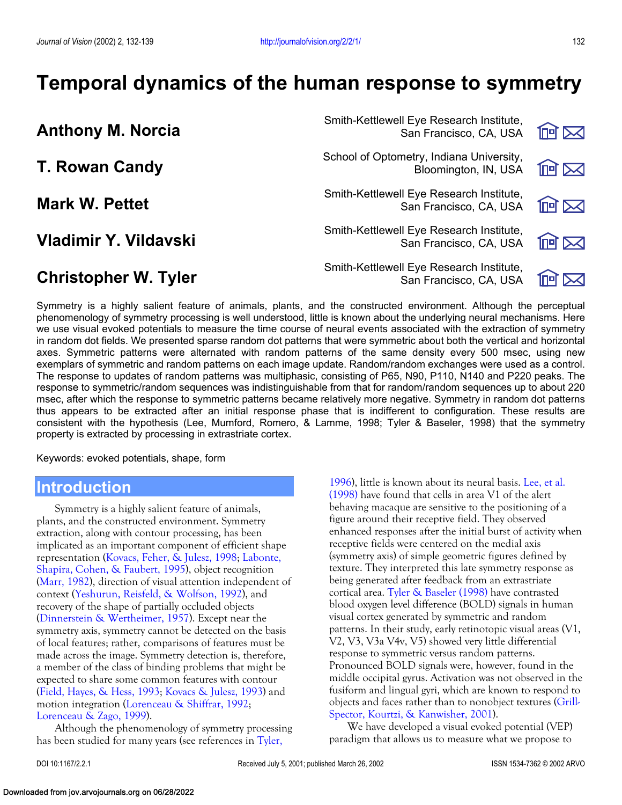# **Temporal dynamics of the human response to symmetry**

**Anthony M. Norcia Smith-Kettlewell Eye Research Institute,**<br>San Francisco, CA, USA San Francisco, CA, USA  $10<sub>u</sub>$ **T. Rowan Candy T. Rowan Candy School of Optometry, Indiana University,** Bloomington, IN, USA **Mark W. Pettet Charles Constitute Constitute** Smith-Kettlewell Eye Research Institute,<br>San Francisco, CA LISA San Francisco, CA, USA **Vladimir Y. Vildavski** Smith-Kettlewell Eye Research Institute,<br>San Francisco, CA LISA San Francisco, CA, USA **Christopher W. Tyler** Smith-Kettlewell Eye Research Institute,<br>San Francisco, CA, USA San Francisco, CA, USA

Symmetry is a highly salient feature of animals, plants, and the constructed environment. Although the perceptual phenomenology of symmetry processing is well understood, little is known about the underlying neural mechanisms. Here we use visual evoked potentials to measure the time course of neural events associated with the extraction of symmetry in random dot fields. We presented sparse random dot patterns that were symmetric about both the vertical and horizontal axes. Symmetric patterns were alternated with random patterns of the same density every 500 msec, using new exemplars of symmetric and random patterns on each image update. Random/random exchanges were used as a control. The response to updates of random patterns was multiphasic, consisting of P65, N90, P110, N140 and P220 peaks. The response to symmetric/random sequences was indistinguishable from that for random/random sequences up to about 220 msec, after which the response to symmetric patterns became relatively more negative. Symmetry in random dot patterns thus appears to be extracted after an initial response phase that is indifferent to configuration. These results are consistent with the hypothesis (Lee, Mumford, Romero, & Lamme, 1998; Tyler & Baseler, 1998) that the symmetry property is extracted by processing in extrastriate cortex.

Keywords: evoked potentials, shape, form

#### **Introduction**

Symmetry is a highly salient feature of animals, plants, and the constructed environment. Symmetry extraction, along with contour processing, has been implicated as an important component of efficient shape representation [\(Kovacs, Feher, & Julesz, 1998](#page-6-0); [Labonte,](#page-6-0)  [Shapira, Cohen, & Faubert, 1995\)](#page-6-0), object recognition [\(Marr, 1982](#page-7-0)), direction of visual attention independent of context ([Yeshurun, Reisfeld, & Wolfson, 1992](#page-7-0)), and recovery of the shape of partially occluded objects [\(Dinnerstein & Wertheimer, 1957](#page-6-0)). Except near the symmetry axis, symmetry cannot be detected on the basis of local features; rather, comparisons of features must be made across the image. Symmetry detection is, therefore, a member of the class of binding problems that might be expected to share some common features with contour [\(Field, Hayes, & Hess, 1993](#page-6-0); [Kovacs & Julesz, 1993\)](#page-6-0) and motion integration [\(Lorenceau & Shiffrar, 1992;](#page-7-0) [Lorenceau & Zago, 1999](#page-7-0)).

Although the phenomenology of symmetry pr[ocessing](#page-7-0)  has been studied for many years (see references in Tyler,

1996), little is known about its neural basis. [Lee, et al.](#page-7-0)  [\(1998\)](#page-7-0) have found that cells in area V1 of the alert behaving macaque are sensitive to the positioning of a figure around their receptive field. They observed enhanced responses after the initial burst of activity when receptive fields were centered on the medial axis (symmetry axis) of simple geometric figures defined by texture. They interpreted this late symmetry response as being generated after feedback from an extrastriate cortical area. [Tyler & Baseler \(1998\)](#page-7-0) have contrasted blood oxygen level difference (BOLD) signals in human visual cortex generated by symmetric and random patterns. In their study, early retinotopic visual areas (V1, V2, V3, V3a V4v, V5) showed very little differential response to symmetric versus random patterns. Pronounced BOLD signals were, however, found in the middle occipital gyrus. Activation was not observed in the fusiform and lingual gyri, which are known to respond to objects and faces rather than to nonobject textures [\(Grill-](#page-6-0)[Spector, Kourtzi, & Kanwisher, 2001](#page-6-0)).

We have developed a visual evoked potential (VEP) paradigm that allows us to measure what we propose to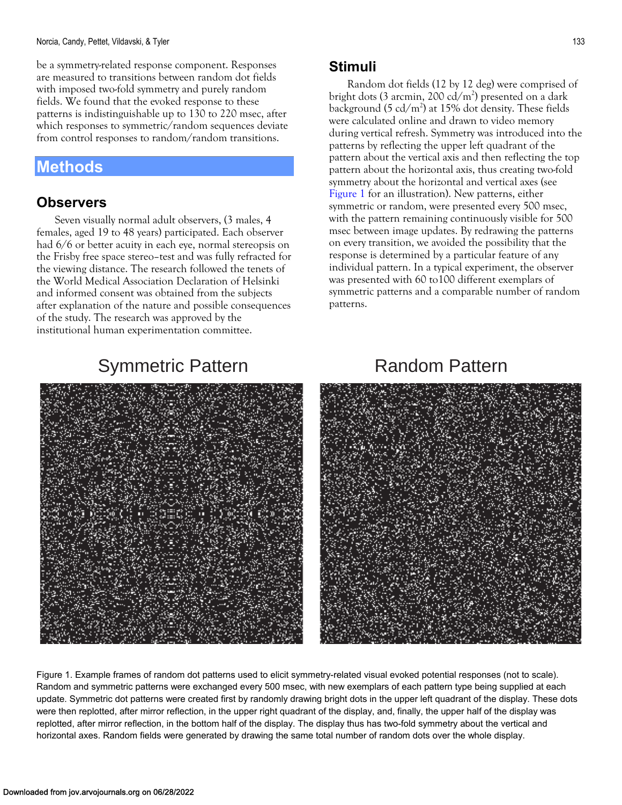Norcia, Candy, Pettet, Vildavski, & Tyler 133

be a symmetry-related response component. Responses are measured to transitions between random dot fields with imposed two-fold symmetry and purely random fields. We found that the evoked response to these patterns is indistinguishable up to 130 to 220 msec, after which responses to symmetric/random sequences deviate from control responses to random/random transitions.

# **Methods**

#### **Observers**

Seven visually normal adult observers, (3 males, 4 females, aged 19 to 48 years) participated. Each observer had 6/6 or better acuity in each eye, normal stereopsis on the Frisby free space stereo–test and was fully refracted for the viewing distance. The research followed the tenets of the World Medical Association Declaration of Helsinki and informed consent was obtained from the subjects after explanation of the nature and possible consequences of the study. The research was approved by the institutional human experimentation committee.

#### **Stimuli**

Random dot fields (12 by 12 deg) were comprised of bright dots (3 arcmin, 200 cd/m<sup>2</sup>) presented on a dark background (5  $cd/m^2$ ) at 15% dot density. These fields were calculated online and drawn to video memory during vertical refresh. Symmetry was introduced into the patterns by reflecting the upper left quadrant of the pattern about the vertical axis and then reflecting the top pattern about the horizontal axis, thus creating two-fold symmetry about the horizontal and vertical axes (see Figure 1 for an illustration). New patterns, either symmetric or random, were presented every 500 msec, with the pattern remaining continuously visible for 500 msec between image updates. By redrawing the patterns on every transition, we avoided the possibility that the response is determined by a particular feature of any individual pattern. In a typical experiment, the observer was presented with 60 to100 different exemplars of symmetric patterns and a comparable number of random patterns.

# Symmetric Pattern Random Pattern





Figure 1. Example frames of random dot patterns used to elicit symmetry-related visual evoked potential responses (not to scale). Random and symmetric patterns were exchanged every 500 msec, with new exemplars of each pattern type being supplied at each update. Symmetric dot patterns were created first by randomly drawing bright dots in the upper left quadrant of the display. These dots were then replotted, after mirror reflection, in the upper right quadrant of the display, and, finally, the upper half of the display was replotted, after mirror reflection, in the bottom half of the display. The display thus has two-fold symmetry about the vertical and horizontal axes. Random fields were generated by drawing the same total number of random dots over the whole display.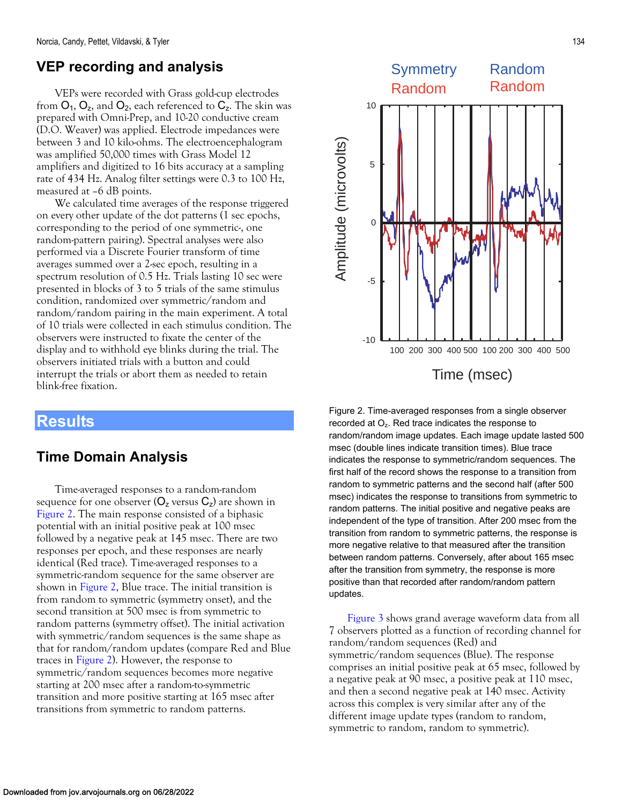#### <span id="page-2-0"></span>**VEP recording and analysis**

from  $O_1$ ,  $O_z$ , and  $O_2$ , each referenced to  $C_z$ . The skin was prepared with Omni-Prep, and 10-20 conductive cream (D.O. Weaver) was applied. Electrode impedances were between 3 and 10 kilo-ohms. The electroencephalogram was amplified 50,000 times with Grass Model 12 amplifiers and digitized to 16 bits accuracy at a sampling rate of 434 Hz. Analog filter settings were 0.3 to 100 Hz, measured at –6 dB points.

We calculated time averages of the response triggered on every other update of the dot patterns (1 sec epochs, corresponding to the period of one symmetric-, one random-pattern pairing). Spectral analyses were also performed via a Discrete Fourier transform of time averages summed over a 2-sec epoch, resulting in a spectrum resolution of 0.5 Hz. Trials lasting 10 sec were presented in blocks of 3 to 5 trials of the same stimulus condition, randomized over symmetric/random and random/random pairing in the main experiment. A total of 10 trials were collected in each stimulus condition. The observers were instructed to fixate the center of the display and to withhold eye blinks during the trial. The observers initiated trials with a button and could interrupt the trials or abort them as needed to retain blink-free fixation.

# **Results**

#### **Time Domain Analysis**

Time-averaged responses to a random-random sequence for one observer  $(O_z$  versus  $C_z$ ) are shown in [Figure 2.](#page-2-0) The main response consisted of a biphasic potential with an initial positive peak at 100 msec followed by a negative peak at 145 msec. There are two responses per epoch, and these responses are nearly identical (Red trace). Time-averaged responses to a symmetric-random sequence for the same observer are shown in [Figure 2](#page-2-0), Blue trace. The initial transition is from random to symmetric (symmetry onset), and the second transition at 500 msec is from symmetric to random patterns (symmetry offset). The initial activation with symmetric/random sequences is the same shape as that for random/random updates (compare Red and Blue traces in [Figure 2\)](#page-2-0). However, the response to symmetric/random sequences becomes more negative starting at 200 msec after a random-to-symmetric transition and more positive starting at 165 msec after transitions from symmetric to random patterns.



Figure 2. Time-averaged responses from a single observer recorded at  $O<sub>z</sub>$ . Red trace indicates the response to random/random image updates. Each image update lasted 500 msec (double lines indicate transition times). Blue trace indicates the response to symmetric/random sequences. The first half of the record shows the response to a transition from random to symmetric patterns and the second half (after 500 msec) indicates the response to transitions from symmetric to random patterns. The initial positive and negative peaks are independent of the type of transition. After 200 msec from the transition from random to symmetric patterns, the response is more negative relative to that measured after the transition between random patterns. Conversely, after about 165 msec after the transition from symmetry, the response is more positive than that recorded after random/random pattern updates.

[Figure 3](#page-3-0) shows grand average waveform data from all 7 observers plotted as a function of recording channel for random/random sequences (Red) and symmetric/random sequences (Blue). The response comprises an initial positive peak at 65 msec, followed by a negative peak at 90 msec, a positive peak at 110 msec, and then a second negative peak at 140 msec. Activity across this complex is very similar after any of the different image update types (random to random, symmetric to random, random to symmetric).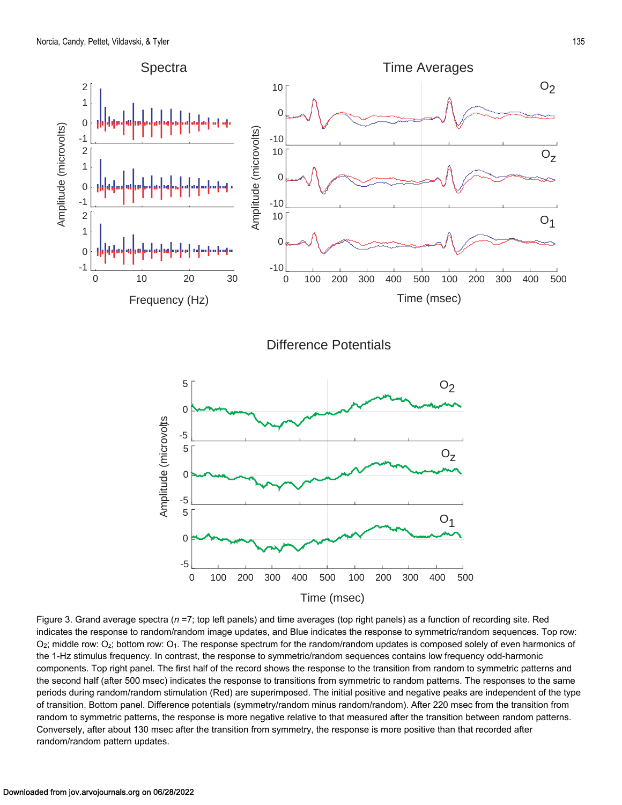<span id="page-3-0"></span>

Figure 3. Grand average spectra ( $n = 7$ ; top left panels) and time averages (top right panels) as a function of recording site. Red indicates the response to random/random image updates, and Blue indicates the response to symmetric/random sequences. Top row:  $O_2$ ; middle row:  $O_2$ ; bottom row:  $O_1$ . The response spectrum for the random/random updates is composed solely of even harmonics of the 1-Hz stimulus frequency. In contrast, the response to symmetric/random sequences contains low frequency odd-harmonic components. Top right panel. The first half of the record shows the response to the transition from random to symmetric patterns and the second half (after 500 msec) indicates the response to transitions from symmetric to random patterns. The responses to the same periods during random/random stimulation (Red) are superimposed. The initial positive and negative peaks are independent of the type of transition. Bottom panel. Difference potentials (symmetry/random minus random/random). After 220 msec from the transition from random to symmetric patterns, the response is more negative relative to that measured after the transition between random patterns. Conversely, after about 130 msec after the transition from symmetry, the response is more positive than that recorded after random/random pattern updates.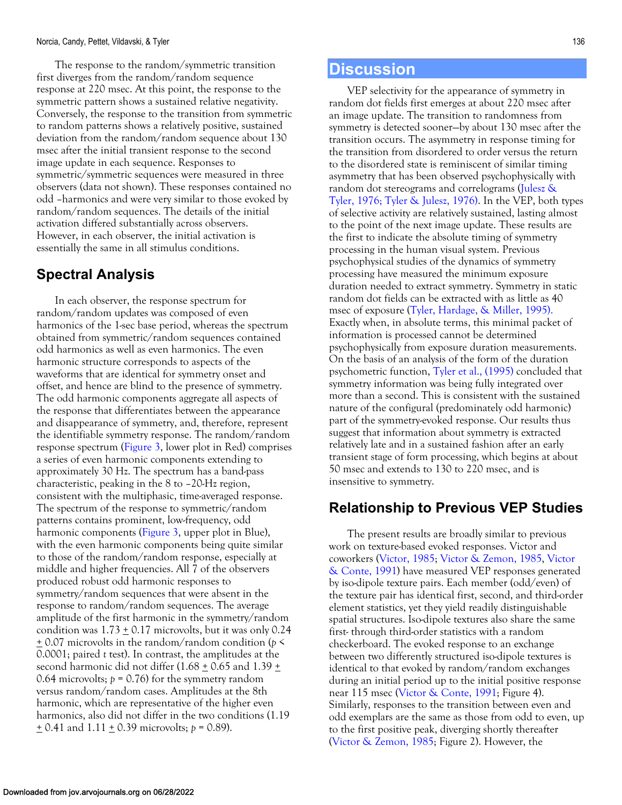The response to the random/symmetric transition first diverges from the random/random sequence response at 220 msec. At this point, the response to the symmetric pattern shows a sustained relative negativity. Conversely, the response to the transition from symmetric to random patterns shows a relatively positive, sustained deviation from the random/random sequence about 130 msec after the initial transient response to the second image update in each sequence. Responses to symmetric/symmetric sequences were measured in three observers (data not shown). These responses contained no odd –harmonics and were very similar to those evoked by random/random sequences. The details of the initial activation differed substantially across observers. However, in each observer, the initial activation is essentially the same in all stimulus conditions.

#### **Spectral Analysis**

In each observer, the response spectrum for random/random updates was composed of even harmonics of the 1-sec base period, whereas the spectrum obtained from symmetric/random sequences contained odd harmonics as well as even harmonics. The even harmonic structure corresponds to aspects of the waveforms that are identical for symmetry onset and offset, and hence are blind to the presence of symmetry. The odd harmonic components aggregate all aspects of the response that differentiates between the appearance and disappearance of symmetry, and, therefore, represent the identifiable symmetry response. The random/random response spectrum [\(Figure 3,](#page-3-0) lower plot in Red) comprises a series of even harmonic components extending to approximately 30 Hz. The spectrum has a band-pass characteristic, peaking in the 8 to –20-Hz region, consistent with the multiphasic, time-averaged response. The spectrum of the response to symmetric/random patterns contains prominent, low-frequency, odd harmonic components ([Figure 3](#page-3-0), upper plot in Blue), with the even harmonic components being quite similar to those of the random/random response, especially at middle and higher frequencies. All 7 of the observers produced robust odd harmonic responses to symmetry/random sequences that were absent in the response to random/random sequences. The average amplitude of the first harmonic in the symmetry/random condition was  $1.73 + 0.17$  microvolts, but it was only 0.24 + 0.07 microvolts in the random/random condition (*p* < 0.0001; paired *t* test). In contrast, the amplitudes at the second harmonic did not differ (1.68 + 0.65 and 1.39 + 0.64 microvolts;  $p = 0.76$  for the symmetry random versus random/random cases. Amplitudes at the 8th harmonic, which are representative of the higher even harmonics, also did not differ in the two conditions (1.19) + 0.41 and 1.11 + 0.39 microvolts; *p* = 0.89).

#### **Discussion**

VEP selectivity for the appearance of symmetry in random dot fields first emerges at about 220 msec after an image update. The transition to randomness from symmetry is detected sooner—by about 130 msec after the transition occurs. The asymmetry in response timing for the transition from disordered to order versus the return to the disordered state is reminiscent of similar timing asymmetry that has been observed psychophysically with random dot stereograms and correlograms (Julesz & Tyler, 1976[; Tyler & Julesz, 1976\)](#page-7-0). In the VEP, both types of selective activity are relatively sustained, lasting almost to the point of the next image update. These results are the first to indicate the absolute timing of symmetry processing in the human visual system. Previous psychophysical studies of the dynamics of symmetry processing have measured the minimum exposure duration needed to extract symmetry. Symmetry in static random dot fields can be extracted with as little as 40 msec of exposure ([Tyler, Hardage, & Miller, 1995\).](#page-7-0) Exactly when, in absolute terms, this minimal packet of information is processed cannot be determined psychophysically from exposure duration measurements. On the basis of an analysis of the form of the duration psychometric function, [Tyler et al., \(1995\)](#page-7-0) concluded that symmetry information was being fully integrated over more than a second. This is consistent with the sustained nature of the configural (predominately odd harmonic) part of the symmetry-evoked response. Our results thus suggest that information about symmetry is extracted relatively late and in a sustained fashion after an early transient stage of form processing, which begins at about 50 msec and extends to 130 to 220 msec, and is insensitive to symmetry.

# **Relationship to Previous VEP Studies**

The present results are broadly similar to previous work on texture-based evoked responses. Victor and coworkers [\(Victor, 1985](#page-7-0); [Victor & Zemon, 1985,](#page-7-0) [Victor](#page-7-0)  [& Conte, 1991\)](#page-7-0) have measured VEP responses generated by iso-dipole texture pairs. Each member (odd/even) of the texture pair has identical first, second, and third-order element statistics, yet they yield readily distinguishable spatial structures. Iso-dipole textures also share the same first- through third-order statistics with a random checkerboard. The evoked response to an exchange between two differently structured iso-dipole textures is identical to that evoked by random/random exchanges during an initial period up to the initial positive response near 115 msec [\(Victor & Conte, 1991](#page-7-0); Figure 4). Similarly, responses to the transition between even and odd exemplars are the same as those from odd to even, up to the first positive peak, diverging shortly thereafter [\(Victor & Zemon, 1985](#page-7-0); Figure 2). However, the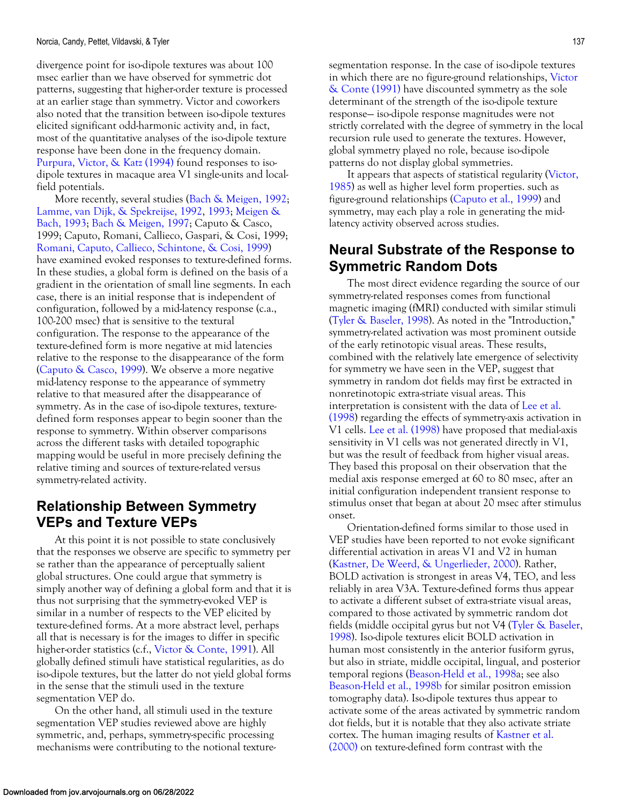divergence point for iso-dipole textures was about 100 msec earlier than we have observed for symmetric dot patterns, suggesting that higher-order texture is processed at an earlier stage than symmetry. Victor and coworkers also noted that the transition between iso-dipole textures elicited significant odd-harmonic activity and, in fact, most of the quantitative analyses of the iso-dipole texture response have been done in the frequency domain. [Purpura, Victor, & Katz \(1994\)](#page-7-0) found responses to isodipole textures in macaque area V1 single-units and localfield potentials.

More recently, several studies [\(Bach & Meigen, 1992](#page-6-0); [Lamme, van Dijk, & Spekreijse, 1992](#page-6-0), [1993;](#page-6-0) [Meigen &](#page-7-0)  [Bach, 1993](#page-7-0); [Bach & Meigen, 1997](#page-6-0); Caputo & Casco, 1999; Caputo, Romani, Callieco, Gaspari, & Cosi, 1999; [Romani, Caputo, Callieco, Schintone, & Cosi, 1999](#page-7-0)) have examined evoked responses to texture-defined forms. In these studies, a global form is defined on the basis of a gradient in the orientation of small line segments. In each case, there is an initial response that is independent of configuration, followed by a mid-latency response (c.a., 100-200 msec) that is sensitive to the textural configuration. The response to the appearance of the texture-defined form is more negative at mid latencies relative to the response to the disappearance of the form [\(Caputo & Casco, 1999](#page-6-0)). We observe a more negative mid-latency response to the appearance of symmetry relative to that measured after the disappearance of symmetry. As in the case of iso-dipole textures, texturedefined form responses appear to begin sooner than the response to symmetry. Within observer comparisons across the different tasks with detailed topographic mapping would be useful in more precisely defining the relative timing and sources of texture-related versus symmetry-related activity.

# **Relationship Between Symmetry VEPs and Texture VEPs**

At this point it is not possible to state conclusively that the responses we observe are specific to symmetry per se rather than the appearance of perceptually salient global structures. One could argue that symmetry is simply another way of defining a global form and that it is thus not surprising that the symmetry-evoked VEP is similar in a number of respects to the VEP elicited by texture-defined forms. At a more abstract level, perhaps all that is necessary is for the images to differ in specific higher-order statistics (c.f., [Victor & Conte, 1991\)](#page-7-0). All globally defined stimuli have statistical regularities, as do iso-dipole textures, but the latter do not yield global forms in the sense that the stimuli used in the texture segmentation VEP do.

On the other hand, all stimuli used in the texture segmentation VEP studies reviewed above are highly symmetric, and, perhaps, symmetry-specific processing mechanisms were contributing to the notional texture-

segmentation response. In the case of iso-dipole textures in which there are no figure-ground relationships, [Victor](#page-7-0)  [& Conte \(1991\)](#page-7-0) have discounted symmetry as the sole determinant of the strength of the iso-dipole texture response— iso-dipole response magnitudes were not strictly correlated with the degree of symmetry in the local recursion rule used to generate the textures. However, global symmetry played no role, because iso-dipole patterns do not display global symmetries.

It appears that aspects of statistical regularity ([Victor,](#page-7-0)  [1985](#page-7-0)) as well as higher level form properties. such as figure-ground relationships [\(Caputo et al., 1999](#page-6-0)) and symmetry, may each play a role in generating the midlatency activity observed across studies.

### **Neural Substrate of the Response to Symmetric Random Dots**

The most direct evidence regarding the source of our symmetry-related responses comes from functional magnetic imaging (fMRI) conducted with similar stimuli [\(Tyler & Baseler, 1998](#page-7-0)). As noted in the "Introduction," symmetry-related activation was most prominent outside of the early retinotopic visual areas. These results, combined with the relatively late emergence of selectivity for symmetry we have seen in the VEP, suggest that symmetry in random dot fields may first be extracted in nonretinotopic extra-striate visual areas. This interpretation is consistent with the data of [Lee et al.](#page-7-0)  [\(1998](#page-7-0)) regarding the effects of symmetry-axis activation in V1 cells. [Lee et al. \(1998\)](#page-7-0) have proposed that medial-axis sensitivity in V1 cells was not generated directly in V1, but was the result of feedback from higher visual areas. They based this proposal on their observation that the medial axis response emerged at 60 to 80 msec, after an initial configuration independent transient response to stimulus onset that began at about 20 msec after stimulus onset.

Orientation-defined forms similar to those used in VEP studies have been reported to not evoke significant differential activation in areas V1 and V2 in human [\(Kastner, De Weerd, & Ungerlieder, 2000](#page-6-0)). Rather, BOLD activation is strongest in areas V4, TEO, and less reliably in area V3A. Texture-defined forms thus appear to activate a different subset of extra-striate visual areas, compared to those activated by symmetric random dot fields (middle occipital gyrus but not V4 ([Tyler & Baseler,](#page-7-0)  [1998](#page-7-0)). Iso-dipole textures elicit BOLD activation in human most consistently in the anterior fusiform gyrus, but also in striate, middle occipital, lingual, and posterior temporal regions ([Beason-Held et al., 1998](#page-6-0)a; see also [Beason-Held et al., 1998b](#page-6-0) for similar positron emission tomography data). Iso-dipole textures thus appear to activate some of the areas activated by symmetric random dot fields, but it is notable that they also activate striate cortex. The human imaging results of [Kastner et al.](#page-6-0)  [\(2000\)](#page-6-0) on texture-defined form contrast with the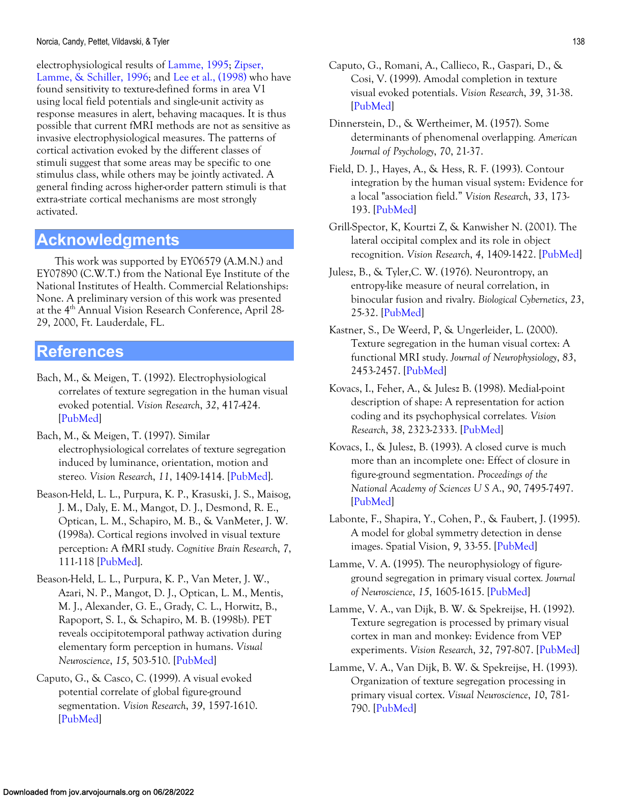<span id="page-6-0"></span>electrophysiological results of [Lamme, 1995](#page-6-0); [Zipser,](#page-7-0)  [Lamme, & Schiller, 1996](#page-7-0); and [Lee et al., \(1998\)](#page-7-0) who have found sensitivity to texture-defined forms in area V1 using local field potentials and single-unit activity as response measures in alert, behaving macaques. It is thus possible that current fMRI methods are not as sensitive as invasive electrophysiological measures. The patterns of cortical activation evoked by the different classes of stimuli suggest that some areas may be specific to one stimulus class, while others may be jointly activated. A general finding across higher-order pattern stimuli is that extra-striate cortical mechanisms are most strongly activated.

# **Acknowledgments**

This work was supported by EY06579 (A.M.N.) and EY07890 (C.W.T.) from the National Eye Institute of the National Institutes of Health. Commercial Relationships: None. A preliminary version of this work was presented at the 4<sup>th</sup> Annual Vision Research Conference, April 28-29, 2000, Ft. Lauderdale, FL.

#### **References**

- Bach, M., & Meigen, T. (1992). Electrophysiological correlates of texture segregation in the human visual evoked potential. *Vision Research*, *32*, 417-424. [\[PubMed](http://www.ncbi.nlm.nih.gov:80/entrez/query.fcgi?cmd=Retrieve&db=PubMed&list_uids=1604828&dopt=Abstract)]
- *Research*, *38*, 2323-2333. [[PubMed\]](http://www.ncbi.nlm.nih.gov:80/entrez/query.fcgi?cmd=Retrieve&db=PubMed&list_uids=9798002&dopt=Abstract) Bach, M., & Meigen, T. (1997). Similar electrophysiological correlates of texture segregation induced by luminance, orientation, motion and stereo*. Vision Research*, *11*, 1409-1414. [[PubMed\]](http://www.ncbi.nlm.nih.gov:80/entrez/query.fcgi?cmd=Retrieve&db=PubMed&list_uids=9205704&dopt=Abstract).
- [\[PubMed](http://www.ncbi.nlm.nih.gov:80/entrez/query.fcgi?cmd=Retrieve&db=PubMed&list_uids=8356044&dopt=Abstract)] Beason-Held, L. L., Purpura, K. P., Krasuski, J. S., Maisog, J. M., Daly, E. M., Mangot, D. J., Desmond, R. E., Optican, L. M., Schapiro, M. B., & VanMeter, J. W. (1998a). Cortical regions involved in visual texture perception: A fMRI study. *Cognitive Brain Research*, *7*, 111-118 [\[PubMed](http://www.ncbi.nlm.nih.gov:80/entrez/query.fcgi?cmd=Retrieve&db=PubMed&list_uids=9774714&dopt=Abstract)].
- Beason-Held, L. L., Purpura, K. P., Van Meter, J. W., Azari, N. P., Mangot, D. J., Optican, L. M., Mentis, M. J., Alexander, G. E., Grady, C. L., Horwitz, B., Rapoport, S. I., & Schapiro, M. B. (1998b). PET reveals occipitotemporal pathway activation during elementary form perception in humans. *Visual Neuroscience*, *15*, 503-510. [[PubMed](http://www.ncbi.nlm.nih.gov:80/entrez/query.fcgi?cmd=Retrieve&db=PubMed&list_uids=9685203&dopt=Abstract)]
- Caputo, G., & Casco, C. (1999). A visual evoked potential correlate of global figure-ground segmentation. *Vision Research*, *39*, 1597-1610. [\[PubMed](http://www.ncbi.nlm.nih.gov:80/entrez/query.fcgi?cmd=Retrieve&db=PubMed&list_uids=10343854&dopt=Abstract)]
- Caputo, G., Romani, A., Callieco, R., Gaspari, D., & Cosi, V. (1999). Amodal completion in texture visual evoked potentials. *Vision Research*, *39*, 31-38. [\[PubMed](http://www.ncbi.nlm.nih.gov:80/entrez/query.fcgi?cmd=Retrieve&db=PubMed&list_uids=10211393&dopt=Abstract)]
- Dinnerstein, D., & Wertheimer, M. (1957). Some determinants of phenomenal overlapping*. American Journal of Psychology*, *70*, 21-37.
- Field, D. J., Hayes, A., & Hess, R. F. (1993). Contour integration by the human visual system: Evidence for a local "association field." *Vision Research*, *33*, 173- 193. [\[PubMed](http://www.ncbi.nlm.nih.gov:80/entrez/query.fcgi?cmd=Retrieve&db=PubMed&list_uids=8447091&dopt=Abstract)]
- Grill-Spector, K, Kourtzi Z, & Kanwisher N. (2001). The lateral occipital complex and its role in object recognition. *Vision Research*, *4*, 1409-1422. [[PubMed](http://www.ncbi.nlm.nih.gov:80/entrez/query.fcgi?cmd=Retrieve&db=PubMed&list_uids=11322983&dopt=Abstract)]
- Julesz, B., & Tyler,C. W. (1976). Neurontropy, an entropy-like measure of neural correlation, in binocular fusion and rivalry. *Biological Cybernetics*, *23*, 25-32. [[PubMed\]](http://www.ncbi.nlm.nih.gov:80/entrez/query.fcgi?cmd=Retrieve&db=PubMed&list_uids=953084&dopt=Abstract)
- Kastner, S., De Weerd, P, & Ungerleider, L. (2000). Texture segregation in the human visual cortex: A functional MRI study. *Journal of Neurophysiology*, *83*, 2453-2457. [\[PubMed\]](http://www.ncbi.nlm.nih.gov:80/entrez/query.fcgi?cmd=Retrieve&db=PubMed&list_uids=10758146&dopt=Abstract)
- Kovacs, I., Feher, A., & Julesz B. (1998). Medial-point description of shape: A representation for action coding and its psychophysical correlates*. Vision*
- Kovacs, I., & Julesz, B. (1993). A closed curve is much more than an incomplete one: Effect of closure in figure-ground segmentation. *Proceedings of the National Academy of Sciences U S A*., *90*, 7495-7497.
- Labonte, F., Shapira, Y., Cohen, P., & Faubert, J. (1995). A model for global symmetry detection in dense images. Spatial Vision, *9*, 33-55. [\[PubMed](http://www.ncbi.nlm.nih.gov:80/entrez/query.fcgi?cmd=Retrieve&db=PubMed&list_uids=7626546&dopt=Abstract)]
- Lamme, V. A. (1995). The neurophysiology of figureground segregation in primary visual cortex*. Journal of Neuroscience*, *15*, 1605-1615. [[PubMed](http://www.ncbi.nlm.nih.gov:80/entrez/query.fcgi?cmd=Retrieve&db=PubMed&list_uids=7869121&dopt=Abstract)]
- Lamme, V. A., van Dijk, B. W. & Spekreijse, H. (1992). Texture segregation is processed by primary visual cortex in man and monkey: Evidence from VEP experiments. *Vision Research*, *32*, 797-807. [\[PubMed\]](http://www.ncbi.nlm.nih.gov:80/entrez/query.fcgi?cmd=Retrieve&db=PubMed&list_uids=1604849&dopt=Abstract)
- Lamme, V. A., Van Dijk, B. W. & Spekreijse, H. (1993). Organization of texture segregation processing in primary visual cortex. *Visual Neuroscience*, *10*, 781- 790. [\[PubMed](http://www.ncbi.nlm.nih.gov:80/entrez/query.fcgi?cmd=Retrieve&db=PubMed&list_uids=8217932&dopt=Abstract)]